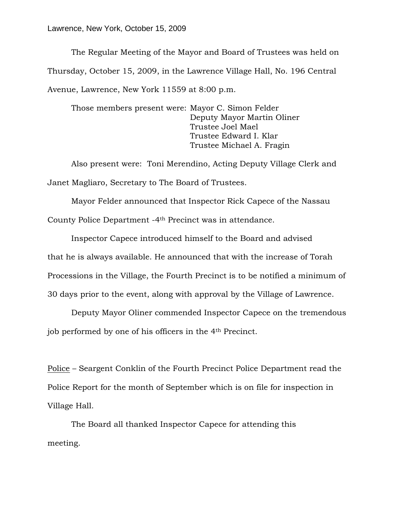The Regular Meeting of the Mayor and Board of Trustees was held on Thursday, October 15, 2009, in the Lawrence Village Hall, No. 196 Central Avenue, Lawrence, New York 11559 at 8:00 p.m.

Those members present were: Mayor C. Simon Felder Deputy Mayor Martin Oliner Trustee Joel Mael Trustee Edward I. Klar Trustee Michael A. Fragin

Also present were: Toni Merendino, Acting Deputy Village Clerk and Janet Magliaro, Secretary to The Board of Trustees.

Mayor Felder announced that Inspector Rick Capece of the Nassau County Police Department -4th Precinct was in attendance.

Inspector Capece introduced himself to the Board and advised that he is always available. He announced that with the increase of Torah Processions in the Village, the Fourth Precinct is to be notified a minimum of 30 days prior to the event, along with approval by the Village of Lawrence.

Deputy Mayor Oliner commended Inspector Capece on the tremendous job performed by one of his officers in the 4th Precinct.

Police – Seargent Conklin of the Fourth Precinct Police Department read the Police Report for the month of September which is on file for inspection in Village Hall.

The Board all thanked Inspector Capece for attending this meeting.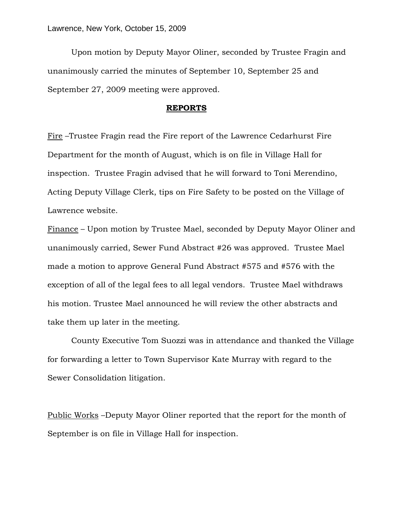Upon motion by Deputy Mayor Oliner, seconded by Trustee Fragin and unanimously carried the minutes of September 10, September 25 and September 27, 2009 meeting were approved.

### **REPORTS**

Fire –Trustee Fragin read the Fire report of the Lawrence Cedarhurst Fire Department for the month of August, which is on file in Village Hall for inspection. Trustee Fragin advised that he will forward to Toni Merendino, Acting Deputy Village Clerk, tips on Fire Safety to be posted on the Village of Lawrence website.

Finance – Upon motion by Trustee Mael, seconded by Deputy Mayor Oliner and unanimously carried, Sewer Fund Abstract #26 was approved. Trustee Mael made a motion to approve General Fund Abstract #575 and #576 with the exception of all of the legal fees to all legal vendors. Trustee Mael withdraws his motion. Trustee Mael announced he will review the other abstracts and take them up later in the meeting.

County Executive Tom Suozzi was in attendance and thanked the Village for forwarding a letter to Town Supervisor Kate Murray with regard to the Sewer Consolidation litigation.

Public Works –Deputy Mayor Oliner reported that the report for the month of September is on file in Village Hall for inspection.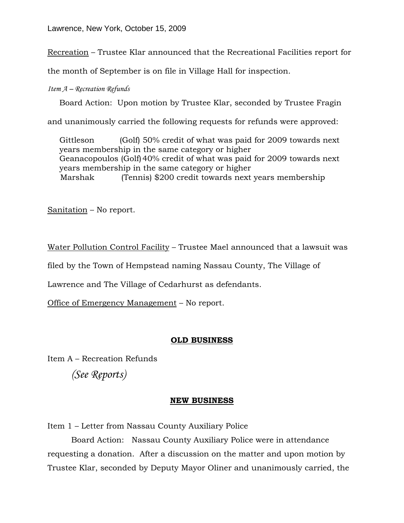Lawrence, New York, October 15, 2009

Recreation – Trustee Klar announced that the Recreational Facilities report for

the month of September is on file in Village Hall for inspection.

## *Item A – Recreation Refunds*

Board Action: Upon motion by Trustee Klar, seconded by Trustee Fragin

and unanimously carried the following requests for refunds were approved:

Gittleson (Golf) 50% credit of what was paid for 2009 towards next years membership in the same category or higher Geanacopoulos (Golf)40% credit of what was paid for 2009 towards next years membership in the same category or higher Marshak (Tennis) \$200 credit towards next years membership

Sanitation – No report.

Water Pollution Control Facility – Trustee Mael announced that a lawsuit was

filed by the Town of Hempstead naming Nassau County, The Village of

Lawrence and The Village of Cedarhurst as defendants.

Office of Emergency Management – No report.

# **OLD BUSINESS**

Item A – Recreation Refunds

*(See Reports)*

## **NEW BUSINESS**

Item 1 – Letter from Nassau County Auxiliary Police

Board Action: Nassau County Auxiliary Police were in attendance requesting a donation. After a discussion on the matter and upon motion by Trustee Klar, seconded by Deputy Mayor Oliner and unanimously carried, the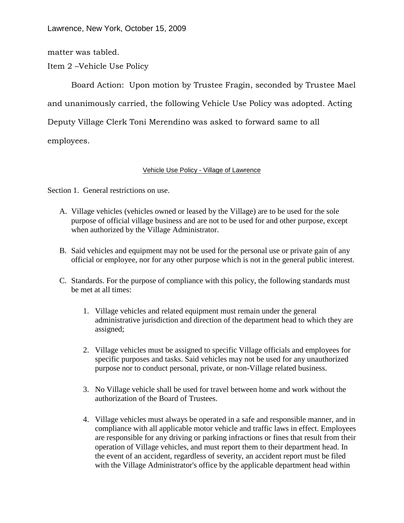matter was tabled.

Item 2 –Vehicle Use Policy

Board Action: Upon motion by Trustee Fragin, seconded by Trustee Mael and unanimously carried, the following Vehicle Use Policy was adopted. Acting Deputy Village Clerk Toni Merendino was asked to forward same to all employees.

### Vehicle Use Policy - Village of Lawrence

Section 1. General restrictions on use.

- A. Village vehicles (vehicles owned or leased by the Village) are to be used for the sole purpose of official village business and are not to be used for and other purpose, except when authorized by the Village Administrator.
- B. Said vehicles and equipment may not be used for the personal use or private gain of any official or employee, nor for any other purpose which is not in the general public interest.
- C. Standards. For the purpose of compliance with this policy, the following standards must be met at all times:
	- 1. Village vehicles and related equipment must remain under the general administrative jurisdiction and direction of the department head to which they are assigned;
	- 2. Village vehicles must be assigned to specific Village officials and employees for specific purposes and tasks. Said vehicles may not be used for any unauthorized purpose nor to conduct personal, private, or non-Village related business.
	- 3. No Village vehicle shall be used for travel between home and work without the authorization of the Board of Trustees.
	- 4. Village vehicles must always be operated in a safe and responsible manner, and in compliance with all applicable motor vehicle and traffic laws in effect. Employees are responsible for any driving or parking infractions or fines that result from their operation of Village vehicles, and must report them to their department head. In the event of an accident, regardless of severity, an accident report must be filed with the Village Administrator's office by the applicable department head within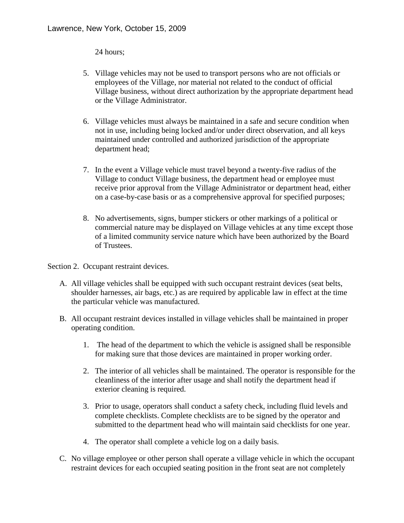24 hours;

- 5. Village vehicles may not be used to transport persons who are not officials or employees of the Village, nor material not related to the conduct of official Village business, without direct authorization by the appropriate department head or the Village Administrator.
- 6. Village vehicles must always be maintained in a safe and secure condition when not in use, including being locked and/or under direct observation, and all keys maintained under controlled and authorized jurisdiction of the appropriate department head;
- 7. In the event a Village vehicle must travel beyond a twenty-five radius of the Village to conduct Village business, the department head or employee must receive prior approval from the Village Administrator or department head, either on a case-by-case basis or as a comprehensive approval for specified purposes;
- 8. No advertisements, signs, bumper stickers or other markings of a political or commercial nature may be displayed on Village vehicles at any time except those of a limited community service nature which have been authorized by the Board of Trustees.

Section 2. Occupant restraint devices.

- A. All village vehicles shall be equipped with such occupant restraint devices (seat belts, shoulder harnesses, air bags, etc.) as are required by applicable law in effect at the time the particular vehicle was manufactured.
- B. All occupant restraint devices installed in village vehicles shall be maintained in proper operating condition.
	- 1. The head of the department to which the vehicle is assigned shall be responsible for making sure that those devices are maintained in proper working order.
	- 2. The interior of all vehicles shall be maintained. The operator is responsible for the cleanliness of the interior after usage and shall notify the department head if exterior cleaning is required.
	- 3. Prior to usage, operators shall conduct a safety check, including fluid levels and complete checklists. Complete checklists are to be signed by the operator and submitted to the department head who will maintain said checklists for one year.
	- 4. The operator shall complete a vehicle log on a daily basis.
- C. No village employee or other person shall operate a village vehicle in which the occupant restraint devices for each occupied seating position in the front seat are not completely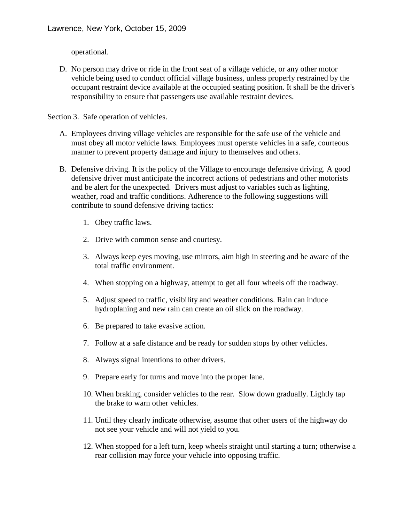operational.

D. No person may drive or ride in the front seat of a village vehicle, or any other motor vehicle being used to conduct official village business, unless properly restrained by the occupant restraint device available at the occupied seating position. It shall be the driver's responsibility to ensure that passengers use available restraint devices.

Section 3. Safe operation of vehicles.

- A. Employees driving village vehicles are responsible for the safe use of the vehicle and must obey all motor vehicle laws. Employees must operate vehicles in a safe, courteous manner to prevent property damage and injury to themselves and others.
- B. Defensive driving. It is the policy of the Village to encourage defensive driving. A good defensive driver must anticipate the incorrect actions of pedestrians and other motorists and be alert for the unexpected. Drivers must adjust to variables such as lighting, weather, road and traffic conditions. Adherence to the following suggestions will contribute to sound defensive driving tactics:
	- 1. Obey traffic laws.
	- 2. Drive with common sense and courtesy.
	- 3. Always keep eyes moving, use mirrors, aim high in steering and be aware of the total traffic environment.
	- 4. When stopping on a highway, attempt to get all four wheels off the roadway.
	- 5. Adjust speed to traffic, visibility and weather conditions. Rain can induce hydroplaning and new rain can create an oil slick on the roadway.
	- 6. Be prepared to take evasive action.
	- 7. Follow at a safe distance and be ready for sudden stops by other vehicles.
	- 8. Always signal intentions to other drivers.
	- 9. Prepare early for turns and move into the proper lane.
	- 10. When braking, consider vehicles to the rear. Slow down gradually. Lightly tap the brake to warn other vehicles.
	- 11. Until they clearly indicate otherwise, assume that other users of the highway do not see your vehicle and will not yield to you.
	- 12. When stopped for a left turn, keep wheels straight until starting a turn; otherwise a rear collision may force your vehicle into opposing traffic.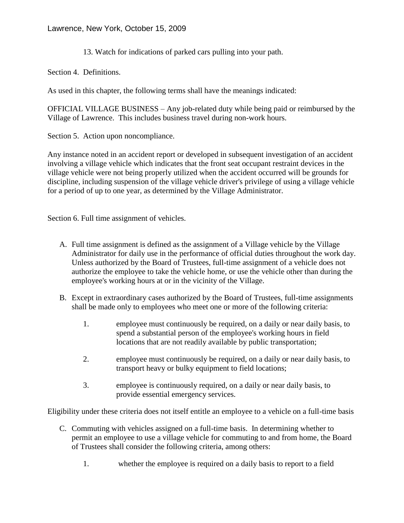13. Watch for indications of parked cars pulling into your path.

Section 4. Definitions.

As used in this chapter, the following terms shall have the meanings indicated:

OFFICIAL VILLAGE BUSINESS – Any job-related duty while being paid or reimbursed by the Village of Lawrence. This includes business travel during non-work hours.

Section 5. Action upon noncompliance.

Any instance noted in an accident report or developed in subsequent investigation of an accident involving a village vehicle which indicates that the front seat occupant restraint devices in the village vehicle were not being properly utilized when the accident occurred will be grounds for discipline, including suspension of the village vehicle driver's privilege of using a village vehicle for a period of up to one year, as determined by the Village Administrator.

Section 6. Full time assignment of vehicles.

- A. Full time assignment is defined as the assignment of a Village vehicle by the Village Administrator for daily use in the performance of official duties throughout the work day. Unless authorized by the Board of Trustees, full-time assignment of a vehicle does not authorize the employee to take the vehicle home, or use the vehicle other than during the employee's working hours at or in the vicinity of the Village.
- B. Except in extraordinary cases authorized by the Board of Trustees, full-time assignments shall be made only to employees who meet one or more of the following criteria:
	- 1. employee must continuously be required, on a daily or near daily basis, to spend a substantial person of the employee's working hours in field locations that are not readily available by public transportation;
	- 2. employee must continuously be required, on a daily or near daily basis, to transport heavy or bulky equipment to field locations;
	- 3. employee is continuously required, on a daily or near daily basis, to provide essential emergency services.

Eligibility under these criteria does not itself entitle an employee to a vehicle on a full-time basis

- C. Commuting with vehicles assigned on a full-time basis. In determining whether to permit an employee to use a village vehicle for commuting to and from home, the Board of Trustees shall consider the following criteria, among others:
	- 1. whether the employee is required on a daily basis to report to a field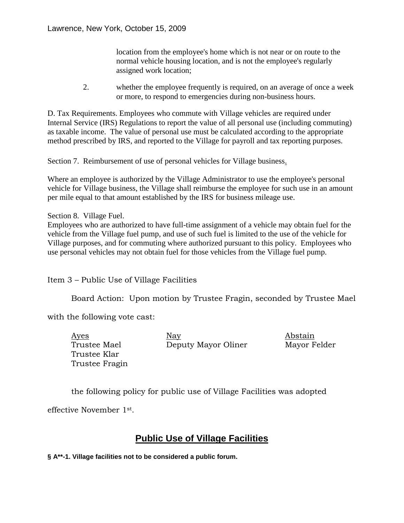location from the employee's home which is not near or on route to the normal vehicle housing location, and is not the employee's regularly assigned work location;

2. whether the employee frequently is required, on an average of once a week or more, to respond to emergencies during non-business hours.

D. Tax Requirements. Employees who commute with Village vehicles are required under Internal Service (IRS) Regulations to report the value of all personal use (including commuting) as taxable income. The value of personal use must be calculated according to the appropriate method prescribed by IRS, and reported to the Village for payroll and tax reporting purposes.

Section 7. Reimbursement of use of personal vehicles for Village business.

Where an employee is authorized by the Village Administrator to use the employee's personal vehicle for Village business, the Village shall reimburse the employee for such use in an amount per mile equal to that amount established by the IRS for business mileage use.

Section 8. Village Fuel.

Employees who are authorized to have full-time assignment of a vehicle may obtain fuel for the vehicle from the Village fuel pump, and use of such fuel is limited to the use of the vehicle for Village purposes, and for commuting where authorized pursuant to this policy. Employees who use personal vehicles may not obtain fuel for those vehicles from the Village fuel pump.

Item 3 – Public Use of Village Facilities

Board Action: Upon motion by Trustee Fragin, seconded by Trustee Mael

with the following vote cast:

Trustee Klar Trustee Fragin

Ayes Nay Nay Abstain Trustee Mael **Deputy Mayor Oliner** Mayor Felder

the following policy for public use of Village Facilities was adopted

effective November 1st .

# **Public Use of Village Facilities**

**§ A\*\*-1. Village facilities not to be considered a public forum.**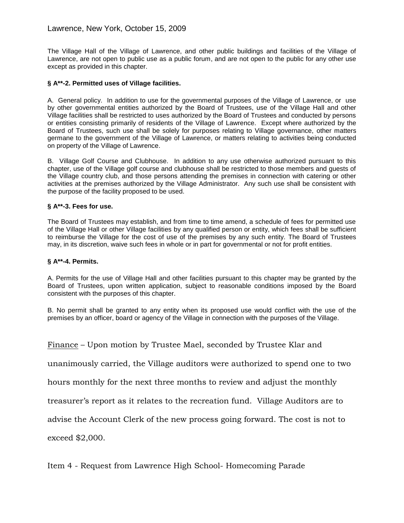### Lawrence, New York, October 15, 2009

The Village Hall of the Village of Lawrence, and other public buildings and facilities of the Village of Lawrence, are not open to public use as a public forum, and are not open to the public for any other use except as provided in this chapter.

#### **§ A\*\*-2. Permitted uses of Village facilities.**

A. General policy. In addition to use for the governmental purposes of the Village of Lawrence, or use by other governmental entities authorized by the Board of Trustees, use of the Village Hall and other Village facilities shall be restricted to uses authorized by the Board of Trustees and conducted by persons or entities consisting primarily of residents of the Village of Lawrence. Except where authorized by the Board of Trustees, such use shall be solely for purposes relating to Village governance, other matters germane to the government of the Village of Lawrence, or matters relating to activities being conducted on property of the Village of Lawrence.

B. Village Golf Course and Clubhouse. In addition to any use otherwise authorized pursuant to this chapter, use of the Village golf course and clubhouse shall be restricted to those members and guests of the Village country club, and those persons attending the premises in connection with catering or other activities at the premises authorized by the Village Administrator. Any such use shall be consistent with the purpose of the facility proposed to be used.

### **§ A\*\*-3. Fees for use.**

The Board of Trustees may establish, and from time to time amend, a schedule of fees for permitted use of the Village Hall or other Village facilities by any qualified person or entity, which fees shall be sufficient to reimburse the Village for the cost of use of the premises by any such entity. The Board of Trustees may, in its discretion, waive such fees in whole or in part for governmental or not for profit entities.

#### **§ A\*\*-4. Permits.**

A. Permits for the use of Village Hall and other facilities pursuant to this chapter may be granted by the Board of Trustees, upon written application, subject to reasonable conditions imposed by the Board consistent with the purposes of this chapter.

B. No permit shall be granted to any entity when its proposed use would conflict with the use of the premises by an officer, board or agency of the Village in connection with the purposes of the Village.

Finance – Upon motion by Trustee Mael, seconded by Trustee Klar and

unanimously carried, the Village auditors were authorized to spend one to two

hours monthly for the next three months to review and adjust the monthly

treasurer's report as it relates to the recreation fund. Village Auditors are to

advise the Account Clerk of the new process going forward. The cost is not to

exceed \$2,000.

Item 4 - Request from Lawrence High School- Homecoming Parade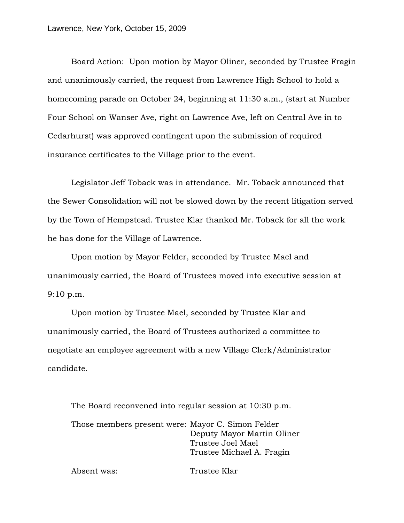Board Action: Upon motion by Mayor Oliner, seconded by Trustee Fragin and unanimously carried, the request from Lawrence High School to hold a homecoming parade on October 24, beginning at 11:30 a.m., (start at Number Four School on Wanser Ave, right on Lawrence Ave, left on Central Ave in to Cedarhurst) was approved contingent upon the submission of required insurance certificates to the Village prior to the event.

Legislator Jeff Toback was in attendance. Mr. Toback announced that the Sewer Consolidation will not be slowed down by the recent litigation served by the Town of Hempstead. Trustee Klar thanked Mr. Toback for all the work he has done for the Village of Lawrence.

Upon motion by Mayor Felder, seconded by Trustee Mael and unanimously carried, the Board of Trustees moved into executive session at 9:10 p.m.

Upon motion by Trustee Mael, seconded by Trustee Klar and unanimously carried, the Board of Trustees authorized a committee to negotiate an employee agreement with a new Village Clerk/Administrator candidate.

The Board reconvened into regular session at 10:30 p.m. Those members present were: Mayor C. Simon Felder Deputy Mayor Martin Oliner Trustee Joel Mael Trustee Michael A. Fragin

Absent was: Trustee Klar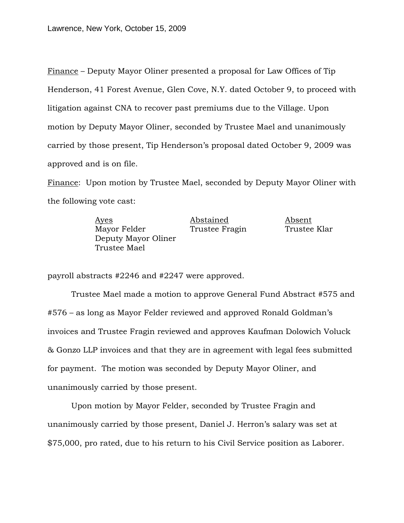Finance – Deputy Mayor Oliner presented a proposal for Law Offices of Tip Henderson, 41 Forest Avenue, Glen Cove, N.Y. dated October 9, to proceed with litigation against CNA to recover past premiums due to the Village. Upon motion by Deputy Mayor Oliner, seconded by Trustee Mael and unanimously carried by those present, Tip Henderson's proposal dated October 9, 2009 was approved and is on file.

Finance: Upon motion by Trustee Mael, seconded by Deputy Mayor Oliner with the following vote cast:

| <u>Ayes</u>         | Abstained      | Absent       |
|---------------------|----------------|--------------|
| Mayor Felder        | Trustee Fragin | Trustee Klar |
| Deputy Mayor Oliner |                |              |
| Trustee Mael        |                |              |
|                     |                |              |

payroll abstracts #2246 and #2247 were approved.

Trustee Mael made a motion to approve General Fund Abstract #575 and #576 – as long as Mayor Felder reviewed and approved Ronald Goldman's invoices and Trustee Fragin reviewed and approves Kaufman Dolowich Voluck & Gonzo LLP invoices and that they are in agreement with legal fees submitted for payment. The motion was seconded by Deputy Mayor Oliner, and unanimously carried by those present.

Upon motion by Mayor Felder, seconded by Trustee Fragin and unanimously carried by those present, Daniel J. Herron's salary was set at \$75,000, pro rated, due to his return to his Civil Service position as Laborer.